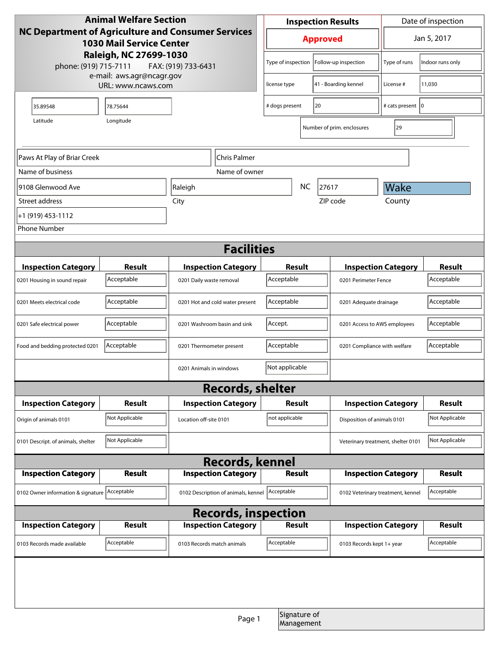| <b>Animal Welfare Section</b>                                                         |                |                                             |                                                   | <b>Inspection Results</b>  |                                   |                                    | Date of inspection         |                  |
|---------------------------------------------------------------------------------------|----------------|---------------------------------------------|---------------------------------------------------|----------------------------|-----------------------------------|------------------------------------|----------------------------|------------------|
| NC Department of Agriculture and Consumer Services<br><b>1030 Mail Service Center</b> |                |                                             | <b>Approved</b>                                   |                            | Jan 5, 2017                       |                                    |                            |                  |
| Raleigh, NC 27699-1030<br>phone: (919) 715-7111<br>FAX: (919) 733-6431                |                |                                             |                                                   | Type of inspection         |                                   | Follow-up inspection               | Type of runs               | Indoor runs only |
| e-mail: aws.agr@ncagr.gov<br>URL: www.ncaws.com                                       |                |                                             |                                                   | license type               |                                   | 41 - Boarding kennel               | License #                  | 11,030           |
| 35.89548                                                                              | 78.75644       |                                             |                                                   | # dogs present             | 20                                |                                    | # cats present   0         |                  |
| Longitude<br>Latitude                                                                 |                |                                             |                                                   |                            |                                   | Number of prim. enclosures         | 29                         |                  |
| Paws At Play of Briar Creek<br>Chris Palmer                                           |                |                                             |                                                   |                            |                                   |                                    |                            |                  |
| Name of business                                                                      |                |                                             | Name of owner                                     |                            |                                   |                                    |                            |                  |
| 9108 Glenwood Ave                                                                     |                | Raleigh                                     |                                                   | <b>NC</b><br>27617         |                                   | Wake                               |                            |                  |
| Street address                                                                        |                | City                                        |                                                   | ZIP code                   |                                   |                                    | County                     |                  |
| +1 (919) 453-1112                                                                     |                |                                             |                                                   |                            |                                   |                                    |                            |                  |
| <b>Phone Number</b>                                                                   |                |                                             |                                                   |                            |                                   |                                    |                            |                  |
| <b>Facilities</b>                                                                     |                |                                             |                                                   |                            |                                   |                                    |                            |                  |
| <b>Inspection Category</b>                                                            | Result         |                                             | <b>Inspection Category</b>                        | Result                     |                                   |                                    | <b>Inspection Category</b> | <b>Result</b>    |
| 0201 Housing in sound repair                                                          | Acceptable     | 0201 Daily waste removal                    |                                                   | Acceptable                 |                                   | 0201 Perimeter Fence               |                            | Acceptable       |
| 0201 Meets electrical code                                                            | Acceptable     |                                             | 0201 Hot and cold water present                   | Acceptable                 |                                   | 0201 Adequate drainage             |                            | Acceptable       |
| 0201 Safe electrical power                                                            | Acceptable     |                                             | 0201 Washroom basin and sink                      | Accept.                    |                                   | 0201 Access to AWS employees       |                            | Acceptable       |
| Food and bedding protected 0201                                                       | Acceptable     | 0201 Thermometer present                    |                                                   | Acceptable                 |                                   | 0201 Compliance with welfare       |                            | Acceptable       |
|                                                                                       |                | 0201 Animals in windows                     |                                                   | Not applicable             |                                   |                                    |                            |                  |
| <b>Records, shelter</b>                                                               |                |                                             |                                                   |                            |                                   |                                    |                            |                  |
| <b>Inspection Category</b>                                                            | Result         |                                             | <b>Inspection Category</b>                        | Result                     |                                   |                                    | <b>Inspection Category</b> | <b>Result</b>    |
| Origin of animals 0101                                                                | Not Applicable | Location off-site 0101                      |                                                   | not applicable             |                                   | Disposition of animals 0101        |                            | Not Applicable   |
| 0101 Descript. of animals, shelter                                                    | Not Applicable |                                             |                                                   |                            |                                   | Veterinary treatment, shelter 0101 |                            | Not Applicable   |
| <b>Records, kennel</b>                                                                |                |                                             |                                                   |                            |                                   |                                    |                            |                  |
| <b>Inspection Category</b>                                                            | <b>Result</b>  | <b>Inspection Category</b><br><b>Result</b> |                                                   | <b>Inspection Category</b> |                                   | <b>Result</b>                      |                            |                  |
| 0102 Owner information & signature Acceptable                                         |                |                                             | Acceptable<br>0102 Description of animals, kennel |                            | 0102 Veterinary treatment, kennel |                                    | Acceptable                 |                  |
| <b>Records, inspection</b>                                                            |                |                                             |                                                   |                            |                                   |                                    |                            |                  |
| <b>Inspection Category</b>                                                            | Result         |                                             | <b>Inspection Category</b>                        | Result                     |                                   |                                    | <b>Inspection Category</b> | <b>Result</b>    |
| 0103 Records made available                                                           | Acceptable     |                                             | 0103 Records match animals                        | Acceptable                 |                                   | 0103 Records kept 1+ year          |                            | Acceptable       |
|                                                                                       |                |                                             |                                                   |                            |                                   |                                    |                            |                  |
|                                                                                       |                |                                             |                                                   |                            |                                   |                                    |                            |                  |
|                                                                                       |                |                                             | Page 1                                            |                            | Signature of<br>Management        |                                    |                            |                  |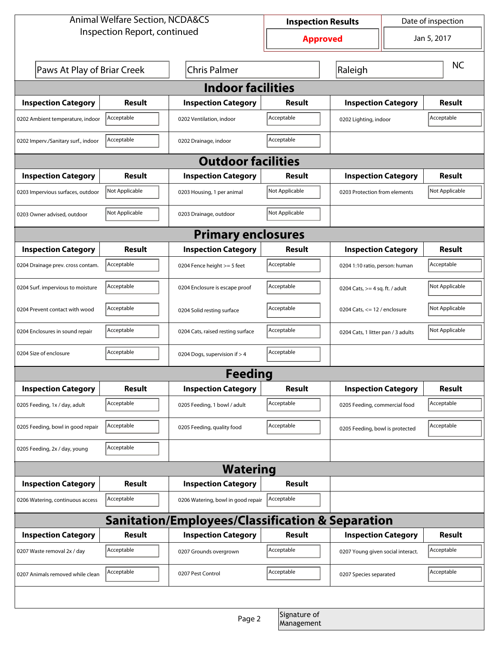| <b>Animal Welfare Section, NCDA&amp;CS</b>       |                |                                    | Date of inspection<br><b>Inspection Results</b> |                                     |                                |                |  |
|--------------------------------------------------|----------------|------------------------------------|-------------------------------------------------|-------------------------------------|--------------------------------|----------------|--|
| Inspection Report, continued                     |                |                                    | <b>Approved</b>                                 |                                     | Jan 5, 2017                    |                |  |
| Paws At Play of Briar Creek                      |                | <b>Chris Palmer</b>                |                                                 | Raleigh                             |                                | <b>NC</b>      |  |
|                                                  |                | <b>Indoor facilities</b>           |                                                 |                                     |                                |                |  |
| <b>Inspection Category</b>                       | Result         | <b>Inspection Category</b>         | Result                                          | <b>Inspection Category</b>          |                                | <b>Result</b>  |  |
| 0202 Ambient temperature, indoor                 | Acceptable     | 0202 Ventilation, indoor           | Acceptable                                      | Acceptable<br>0202 Lighting, indoor |                                |                |  |
| 0202 Imperv./Sanitary surf., indoor              | Acceptable     | 0202 Drainage, indoor              | Acceptable                                      |                                     |                                |                |  |
| <b>Outdoor facilities</b>                        |                |                                    |                                                 |                                     |                                |                |  |
| <b>Inspection Category</b>                       | Result         | <b>Inspection Category</b>         | Result                                          | <b>Inspection Category</b>          |                                | <b>Result</b>  |  |
| 0203 Impervious surfaces, outdoor                | Not Applicable | 0203 Housing, 1 per animal         | Not Applicable                                  | 0203 Protection from elements       |                                | Not Applicable |  |
| 0203 Owner advised, outdoor                      | Not Applicable | 0203 Drainage, outdoor             | Not Applicable                                  |                                     |                                |                |  |
| <b>Primary enclosures</b>                        |                |                                    |                                                 |                                     |                                |                |  |
| <b>Inspection Category</b>                       | Result         | <b>Inspection Category</b>         | Result                                          | <b>Inspection Category</b>          |                                | Result         |  |
| 0204 Drainage prev. cross contam.                | Acceptable     | 0204 Fence height >= 5 feet        | Acceptable                                      | 0204 1:10 ratio, person: human      |                                | Acceptable     |  |
| 0204 Surf. impervious to moisture                | Acceptable     | 0204 Enclosure is escape proof     | Acceptable                                      | 0204 Cats, $>=$ 4 sq. ft. / adult   |                                | Not Applicable |  |
| 0204 Prevent contact with wood                   | Acceptable     | 0204 Solid resting surface         | Acceptable                                      |                                     | 0204 Cats, $<= 12$ / enclosure |                |  |
| 0204 Enclosures in sound repair                  | Acceptable     | 0204 Cats, raised resting surface  | Acceptable                                      | 0204 Cats, 1 litter pan / 3 adults  |                                | Not Applicable |  |
| 0204 Size of enclosure                           | Acceptable     | 0204 Dogs, supervision if > 4      | Acceptable                                      |                                     |                                |                |  |
| Feedina                                          |                |                                    |                                                 |                                     |                                |                |  |
| <b>Inspection Category</b>                       | <b>Result</b>  | <b>Inspection Category</b>         | <b>Result</b>                                   | <b>Inspection Category</b>          |                                | <b>Result</b>  |  |
| 0205 Feeding, 1x / day, adult                    | Acceptable     | 0205 Feeding, 1 bowl / adult       | Acceptable                                      | 0205 Feeding, commercial food       |                                | Acceptable     |  |
| 0205 Feeding, bowl in good repair                | Acceptable     | 0205 Feeding, quality food         | Acceptable                                      | 0205 Feeding, bowl is protected     |                                | Acceptable     |  |
| 0205 Feeding, 2x / day, young                    | Acceptable     |                                    |                                                 |                                     |                                |                |  |
| <b>Watering</b>                                  |                |                                    |                                                 |                                     |                                |                |  |
| <b>Inspection Category</b>                       | <b>Result</b>  | <b>Inspection Category</b>         | <b>Result</b>                                   |                                     |                                |                |  |
| 0206 Watering, continuous access                 | Acceptable     | 0206 Watering, bowl in good repair | Acceptable                                      |                                     |                                |                |  |
| Sanitation/Employees/Classification & Separation |                |                                    |                                                 |                                     |                                |                |  |
| <b>Inspection Category</b>                       | <b>Result</b>  | <b>Inspection Category</b>         | Result                                          | <b>Inspection Category</b>          |                                | <b>Result</b>  |  |
| 0207 Waste removal 2x / day                      | Acceptable     | 0207 Grounds overgrown             | Acceptable                                      | 0207 Young given social interact.   |                                | Acceptable     |  |
| 0207 Animals removed while clean                 | Acceptable     | 0207 Pest Control                  | Acceptable                                      | 0207 Species separated              |                                | Acceptable     |  |
|                                                  |                |                                    |                                                 |                                     |                                |                |  |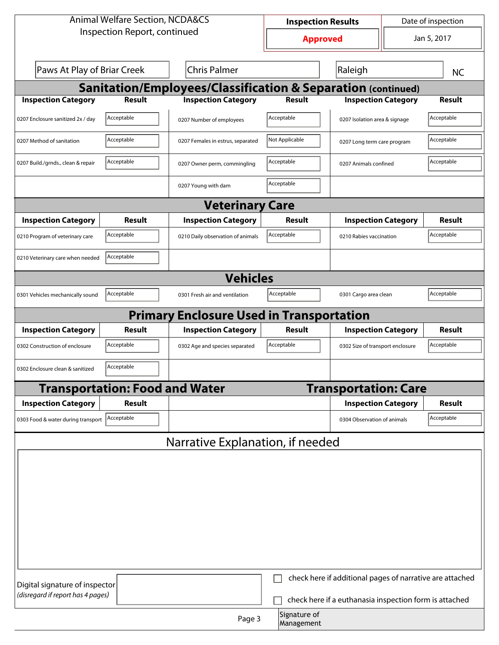| Jan 5, 2017<br><b>Approved</b><br>Paws At Play of Briar Creek<br><b>Chris Palmer</b><br>Raleigh<br><b>NC</b><br><b>Sanitation/Employees/Classification &amp; Separation (continued)</b><br><b>Inspection Category</b><br><b>Inspection Category</b><br><b>Result</b><br><b>Result</b><br><b>Inspection Category</b><br><b>Result</b><br>Acceptable<br>Acceptable<br>Acceptable<br>0207 Enclosure sanitized 2x / day<br>0207 Number of employees<br>0207 Isolation area & signage<br>Acceptable<br>Not Applicable<br>Acceptable<br>0207 Method of sanitation<br>0207 Females in estrus, separated<br>0207 Long term care program<br>Acceptable<br>Acceptable<br>Acceptable<br>0207 Build./grnds., clean & repair<br>0207 Owner perm, commingling<br>0207 Animals confined<br>Acceptable<br>0207 Young with dam<br><b>Veterinary Care</b><br><b>Result</b><br><b>Inspection Category</b><br><b>Inspection Category</b><br><b>Inspection Category</b><br><b>Result</b><br>Result<br>Acceptable<br>Acceptable<br>Acceptable<br>0210 Program of veterinary care<br>0210 Daily observation of animals<br>0210 Rabies vaccination<br>Acceptable<br>0210 Veterinary care when needed<br><b>Vehicles</b><br>Acceptable<br>Acceptable<br>Acceptable<br>0301 Cargo area clean<br>0301 Vehicles mechanically sound<br>0301 Fresh air and ventilation<br><b>Primary Enclosure Used in Transportation</b><br><b>Inspection Category</b><br><b>Inspection Category</b><br><b>Inspection Category</b><br><b>Result</b><br>Result<br>Result<br>Acceptable<br>Acceptable<br>Acceptable<br>0302 Construction of enclosure<br>0302 Age and species separated<br>0302 Size of transport enclosure<br>Acceptable<br>0302 Enclosure clean & sanitized<br><b>Transportation: Food and Water</b><br><b>Transportation: Care</b><br><b>Inspection Category</b><br><b>Inspection Category</b><br><b>Result</b><br>Result<br>Acceptable<br>0303 Food & water during transport Acceptable<br>0304 Observation of animals<br>Narrative Explanation, if needed<br>check here if additional pages of narrative are attached<br>Digital signature of inspector<br>(disregard if report has 4 pages)<br>check here if a euthanasia inspection form is attached<br>Signature of | <b>Animal Welfare Section, NCDA&amp;CS</b> |        |  | <b>Inspection Results</b> |  | Date of inspection |  |  |
|----------------------------------------------------------------------------------------------------------------------------------------------------------------------------------------------------------------------------------------------------------------------------------------------------------------------------------------------------------------------------------------------------------------------------------------------------------------------------------------------------------------------------------------------------------------------------------------------------------------------------------------------------------------------------------------------------------------------------------------------------------------------------------------------------------------------------------------------------------------------------------------------------------------------------------------------------------------------------------------------------------------------------------------------------------------------------------------------------------------------------------------------------------------------------------------------------------------------------------------------------------------------------------------------------------------------------------------------------------------------------------------------------------------------------------------------------------------------------------------------------------------------------------------------------------------------------------------------------------------------------------------------------------------------------------------------------------------------------------------------------------------------------------------------------------------------------------------------------------------------------------------------------------------------------------------------------------------------------------------------------------------------------------------------------------------------------------------------------------------------------------------------------------------------------------------------------------------------------------------------|--------------------------------------------|--------|--|---------------------------|--|--------------------|--|--|
|                                                                                                                                                                                                                                                                                                                                                                                                                                                                                                                                                                                                                                                                                                                                                                                                                                                                                                                                                                                                                                                                                                                                                                                                                                                                                                                                                                                                                                                                                                                                                                                                                                                                                                                                                                                                                                                                                                                                                                                                                                                                                                                                                                                                                                              | Inspection Report, continued               |        |  |                           |  |                    |  |  |
|                                                                                                                                                                                                                                                                                                                                                                                                                                                                                                                                                                                                                                                                                                                                                                                                                                                                                                                                                                                                                                                                                                                                                                                                                                                                                                                                                                                                                                                                                                                                                                                                                                                                                                                                                                                                                                                                                                                                                                                                                                                                                                                                                                                                                                              |                                            |        |  |                           |  |                    |  |  |
|                                                                                                                                                                                                                                                                                                                                                                                                                                                                                                                                                                                                                                                                                                                                                                                                                                                                                                                                                                                                                                                                                                                                                                                                                                                                                                                                                                                                                                                                                                                                                                                                                                                                                                                                                                                                                                                                                                                                                                                                                                                                                                                                                                                                                                              |                                            |        |  |                           |  |                    |  |  |
|                                                                                                                                                                                                                                                                                                                                                                                                                                                                                                                                                                                                                                                                                                                                                                                                                                                                                                                                                                                                                                                                                                                                                                                                                                                                                                                                                                                                                                                                                                                                                                                                                                                                                                                                                                                                                                                                                                                                                                                                                                                                                                                                                                                                                                              |                                            |        |  |                           |  |                    |  |  |
|                                                                                                                                                                                                                                                                                                                                                                                                                                                                                                                                                                                                                                                                                                                                                                                                                                                                                                                                                                                                                                                                                                                                                                                                                                                                                                                                                                                                                                                                                                                                                                                                                                                                                                                                                                                                                                                                                                                                                                                                                                                                                                                                                                                                                                              |                                            |        |  |                           |  |                    |  |  |
|                                                                                                                                                                                                                                                                                                                                                                                                                                                                                                                                                                                                                                                                                                                                                                                                                                                                                                                                                                                                                                                                                                                                                                                                                                                                                                                                                                                                                                                                                                                                                                                                                                                                                                                                                                                                                                                                                                                                                                                                                                                                                                                                                                                                                                              |                                            |        |  |                           |  |                    |  |  |
|                                                                                                                                                                                                                                                                                                                                                                                                                                                                                                                                                                                                                                                                                                                                                                                                                                                                                                                                                                                                                                                                                                                                                                                                                                                                                                                                                                                                                                                                                                                                                                                                                                                                                                                                                                                                                                                                                                                                                                                                                                                                                                                                                                                                                                              |                                            |        |  |                           |  |                    |  |  |
|                                                                                                                                                                                                                                                                                                                                                                                                                                                                                                                                                                                                                                                                                                                                                                                                                                                                                                                                                                                                                                                                                                                                                                                                                                                                                                                                                                                                                                                                                                                                                                                                                                                                                                                                                                                                                                                                                                                                                                                                                                                                                                                                                                                                                                              |                                            |        |  |                           |  |                    |  |  |
|                                                                                                                                                                                                                                                                                                                                                                                                                                                                                                                                                                                                                                                                                                                                                                                                                                                                                                                                                                                                                                                                                                                                                                                                                                                                                                                                                                                                                                                                                                                                                                                                                                                                                                                                                                                                                                                                                                                                                                                                                                                                                                                                                                                                                                              |                                            |        |  |                           |  |                    |  |  |
|                                                                                                                                                                                                                                                                                                                                                                                                                                                                                                                                                                                                                                                                                                                                                                                                                                                                                                                                                                                                                                                                                                                                                                                                                                                                                                                                                                                                                                                                                                                                                                                                                                                                                                                                                                                                                                                                                                                                                                                                                                                                                                                                                                                                                                              |                                            |        |  |                           |  |                    |  |  |
|                                                                                                                                                                                                                                                                                                                                                                                                                                                                                                                                                                                                                                                                                                                                                                                                                                                                                                                                                                                                                                                                                                                                                                                                                                                                                                                                                                                                                                                                                                                                                                                                                                                                                                                                                                                                                                                                                                                                                                                                                                                                                                                                                                                                                                              |                                            |        |  |                           |  |                    |  |  |
|                                                                                                                                                                                                                                                                                                                                                                                                                                                                                                                                                                                                                                                                                                                                                                                                                                                                                                                                                                                                                                                                                                                                                                                                                                                                                                                                                                                                                                                                                                                                                                                                                                                                                                                                                                                                                                                                                                                                                                                                                                                                                                                                                                                                                                              |                                            |        |  |                           |  |                    |  |  |
|                                                                                                                                                                                                                                                                                                                                                                                                                                                                                                                                                                                                                                                                                                                                                                                                                                                                                                                                                                                                                                                                                                                                                                                                                                                                                                                                                                                                                                                                                                                                                                                                                                                                                                                                                                                                                                                                                                                                                                                                                                                                                                                                                                                                                                              |                                            |        |  |                           |  |                    |  |  |
|                                                                                                                                                                                                                                                                                                                                                                                                                                                                                                                                                                                                                                                                                                                                                                                                                                                                                                                                                                                                                                                                                                                                                                                                                                                                                                                                                                                                                                                                                                                                                                                                                                                                                                                                                                                                                                                                                                                                                                                                                                                                                                                                                                                                                                              |                                            |        |  |                           |  |                    |  |  |
|                                                                                                                                                                                                                                                                                                                                                                                                                                                                                                                                                                                                                                                                                                                                                                                                                                                                                                                                                                                                                                                                                                                                                                                                                                                                                                                                                                                                                                                                                                                                                                                                                                                                                                                                                                                                                                                                                                                                                                                                                                                                                                                                                                                                                                              |                                            |        |  |                           |  |                    |  |  |
|                                                                                                                                                                                                                                                                                                                                                                                                                                                                                                                                                                                                                                                                                                                                                                                                                                                                                                                                                                                                                                                                                                                                                                                                                                                                                                                                                                                                                                                                                                                                                                                                                                                                                                                                                                                                                                                                                                                                                                                                                                                                                                                                                                                                                                              |                                            |        |  |                           |  |                    |  |  |
|                                                                                                                                                                                                                                                                                                                                                                                                                                                                                                                                                                                                                                                                                                                                                                                                                                                                                                                                                                                                                                                                                                                                                                                                                                                                                                                                                                                                                                                                                                                                                                                                                                                                                                                                                                                                                                                                                                                                                                                                                                                                                                                                                                                                                                              |                                            |        |  |                           |  |                    |  |  |
|                                                                                                                                                                                                                                                                                                                                                                                                                                                                                                                                                                                                                                                                                                                                                                                                                                                                                                                                                                                                                                                                                                                                                                                                                                                                                                                                                                                                                                                                                                                                                                                                                                                                                                                                                                                                                                                                                                                                                                                                                                                                                                                                                                                                                                              |                                            |        |  |                           |  |                    |  |  |
|                                                                                                                                                                                                                                                                                                                                                                                                                                                                                                                                                                                                                                                                                                                                                                                                                                                                                                                                                                                                                                                                                                                                                                                                                                                                                                                                                                                                                                                                                                                                                                                                                                                                                                                                                                                                                                                                                                                                                                                                                                                                                                                                                                                                                                              |                                            |        |  |                           |  |                    |  |  |
|                                                                                                                                                                                                                                                                                                                                                                                                                                                                                                                                                                                                                                                                                                                                                                                                                                                                                                                                                                                                                                                                                                                                                                                                                                                                                                                                                                                                                                                                                                                                                                                                                                                                                                                                                                                                                                                                                                                                                                                                                                                                                                                                                                                                                                              |                                            |        |  |                           |  |                    |  |  |
|                                                                                                                                                                                                                                                                                                                                                                                                                                                                                                                                                                                                                                                                                                                                                                                                                                                                                                                                                                                                                                                                                                                                                                                                                                                                                                                                                                                                                                                                                                                                                                                                                                                                                                                                                                                                                                                                                                                                                                                                                                                                                                                                                                                                                                              |                                            |        |  |                           |  |                    |  |  |
|                                                                                                                                                                                                                                                                                                                                                                                                                                                                                                                                                                                                                                                                                                                                                                                                                                                                                                                                                                                                                                                                                                                                                                                                                                                                                                                                                                                                                                                                                                                                                                                                                                                                                                                                                                                                                                                                                                                                                                                                                                                                                                                                                                                                                                              |                                            |        |  |                           |  |                    |  |  |
|                                                                                                                                                                                                                                                                                                                                                                                                                                                                                                                                                                                                                                                                                                                                                                                                                                                                                                                                                                                                                                                                                                                                                                                                                                                                                                                                                                                                                                                                                                                                                                                                                                                                                                                                                                                                                                                                                                                                                                                                                                                                                                                                                                                                                                              |                                            |        |  |                           |  |                    |  |  |
|                                                                                                                                                                                                                                                                                                                                                                                                                                                                                                                                                                                                                                                                                                                                                                                                                                                                                                                                                                                                                                                                                                                                                                                                                                                                                                                                                                                                                                                                                                                                                                                                                                                                                                                                                                                                                                                                                                                                                                                                                                                                                                                                                                                                                                              |                                            |        |  |                           |  |                    |  |  |
| Management                                                                                                                                                                                                                                                                                                                                                                                                                                                                                                                                                                                                                                                                                                                                                                                                                                                                                                                                                                                                                                                                                                                                                                                                                                                                                                                                                                                                                                                                                                                                                                                                                                                                                                                                                                                                                                                                                                                                                                                                                                                                                                                                                                                                                                   |                                            | Page 3 |  |                           |  |                    |  |  |